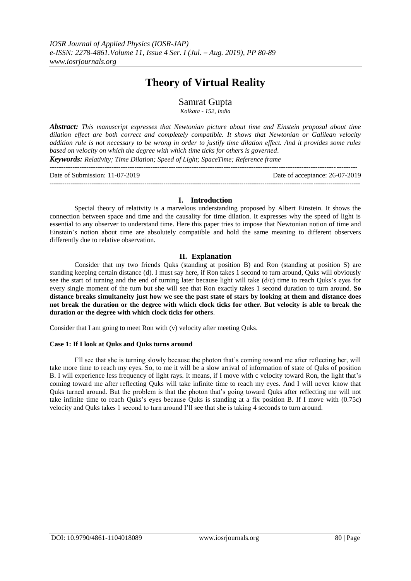# **Theory of Virtual Reality**

## Samrat Gupta

*Kolkata - 152, India*

*Abstract: This manuscript expresses that Newtonian picture about time and Einstein proposal about time dilation effect are both correct and completely compatible. It shows that Newtonian or Galilean velocity addition rule is not necessary to be wrong in order to justify time dilation effect. And it provides some rules based on velocity on which the degree with which time ticks for others is governed. Keywords: Relativity; Time Dilation; Speed of Light; SpaceTime; Reference frame*

--------------------------------------------------------------------------------------------------------------------------------------

| Date of Submission: 11-07-2019 | Date of acceptance: $26-07-2019$ |
|--------------------------------|----------------------------------|
|                                |                                  |

## **I. Introduction**

Special theory of relativity is a marvelous understanding proposed by Albert Einstein. It shows the connection between space and time and the causality for time dilation. It expresses why the speed of light is essential to any observer to understand time. Here this paper tries to impose that Newtonian notion of time and Einstein's notion about time are absolutely compatible and hold the same meaning to different observers differently due to relative observation.

## **II. Explanation**

Consider that my two friends Quks (standing at position B) and Ron (standing at position S) are standing keeping certain distance (d). I must say here, if Ron takes 1 second to turn around, Quks will obviously see the start of turning and the end of turning later because light will take (d/c) time to reach Quks's eyes for every single moment of the turn but she will see that Ron exactly takes 1 second duration to turn around. **So distance breaks simultaneity just how we see the past state of stars by looking at them and distance does not break the duration or the degree with which clock ticks for other. But velocity is able to break the duration or the degree with which clock ticks for others**.

Consider that I am going to meet Ron with (v) velocity after meeting Quks.

#### **Case 1: If I look at Quks and Quks turns around**

I'll see that she is turning slowly because the photon that's coming toward me after reflecting her, will take more time to reach my eyes. So, to me it will be a slow arrival of information of state of Quks of position B. I will experience less frequency of light rays. It means, if I move with c velocity toward Ron, the light that's coming toward me after reflecting Quks will take infinite time to reach my eyes. And I will never know that Quks turned around. But the problem is that the photon that's going toward Quks after reflecting me will not take infinite time to reach Quks's eyes because Quks is standing at a fix position B. If I move with (0.75c) velocity and Quks takes 1 second to turn around I'll see that she is taking 4 seconds to turn around.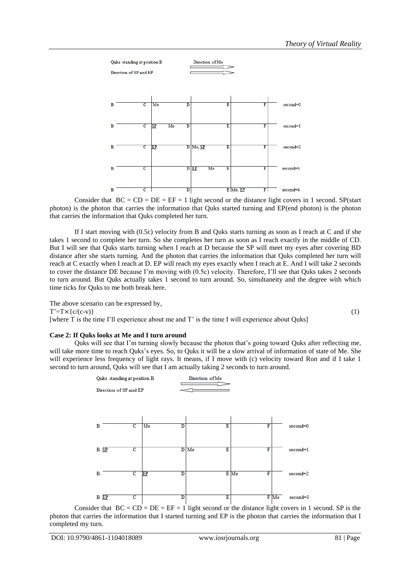

Consider that  $BC = CD = DE = EF = 1$  light second or the distance light covers in 1 second. SP(start photon) is the photon that carries the information that Quks started turning and EP(end photon) is the photon that carries the information that Quks completed her turn.

If I start moving with (0.5c) velocity from B and Quks starts turning as soon as I reach at C and if she takes 1 second to complete her turn. So she completes her turn as soon as I reach exactly in the middle of CD. But I will see that Quks starts turning when I reach at D because the SP will meet my eyes after covering BD distance after she starts turning. And the photon that carries the information that Quks completed her turn will reach at C exactly when I reach at D. EP will reach my eyes exactly when I reach at E. And I will take 2 seconds to cover the distance DE because I'm moving with (0.5c) velocity. Therefore, I'll see that Quks takes 2 seconds to turn around. But Quks actually takes 1 second to turn around. So, simultaneity and the degree with which time ticks for Quks to me both break here.

The above scenario can be expressed by,

 $T^{\prime}=T\times\{c/(c-v)\}\$  (1)

[where T is the time I'll experience about me and T' is the time I will experience about Quks]

## **Case 2: If Quks looks at Me and I turn around**

Quks will see that I'm turning slowly because the photon that's going toward Quks after reflecting me, will take more time to reach Quks's eyes. So, to Quks it will be a slow arrival of information of state of Me. She will experience less frequency of light rays. It means, if I move with (c) velocity toward Ron and if I take 1 second to turn around, Quks will see that I am actually taking 2 seconds to turn around.



Consider that  $BC = CD = DE = EF = 1$  light second or the distance light covers in 1 second. SP is the photon that carries the information that I started turning and EP is the photon that carries the information that I completed my turn.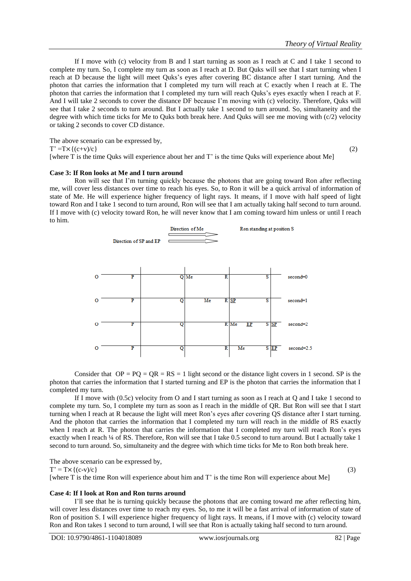If I move with (c) velocity from B and I start turning as soon as I reach at C and I take 1 second to complete my turn. So, I complete my turn as soon as I reach at D. But Quks will see that I start turning when I reach at D because the light will meet Quks's eyes after covering BC distance after I start turning. And the photon that carries the information that I completed my turn will reach at C exactly when I reach at E. The photon that carries the information that I completed my turn will reach Quks's eyes exactly when I reach at F. And I will take 2 seconds to cover the distance DF because I'm moving with (c) velocity. Therefore, Quks will see that I take 2 seconds to turn around. But I actually take 1 second to turn around. So, simultaneity and the degree with which time ticks for Me to Quks both break here. And Quks will see me moving with (c/2) velocity or taking 2 seconds to cover CD distance.

The above scenario can be expressed by,  
\n
$$
T' = Tx\{(c+v)/c\}
$$
\n(2)

[where T is the time Quks will experience about her and T' is the time Quks will experience about Me]

#### **Case 3: If Ron looks at Me and I turn around**

Ron will see that I'm turning quickly because the photons that are going toward Ron after reflecting me, will cover less distances over time to reach his eyes. So, to Ron it will be a quick arrival of information of state of Me. He will experience higher frequency of light rays. It means, if I move with half speed of light toward Ron and I take 1 second to turn around, Ron will see that I am actually taking half second to turn around. If I move with (c) velocity toward Ron, he will never know that I am coming toward him unless or until I reach to him.



Consider that  $OP = PQ = QR = RS = 1$  light second or the distance light covers in 1 second. SP is the photon that carries the information that I started turning and EP is the photon that carries the information that I completed my turn.

If I move with (0.5c) velocity from O and I start turning as soon as I reach at Q and I take 1 second to complete my turn. So, I complete my turn as soon as I reach in the middle of QR. But Ron will see that I start turning when I reach at R because the light will meet Ron's eyes after covering QS distance after I start turning. And the photon that carries the information that I completed my turn will reach in the middle of RS exactly when I reach at R. The photon that carries the information that I completed my turn will reach Ron's eyes exactly when I reach ¼ of RS. Therefore, Ron will see that I take 0.5 second to turn around. But I actually take 1 second to turn around. So, simultaneity and the degree with which time ticks for Me to Ron both break here.

The above scenario can be expressed by,

 $T' = T \times \{(c-v)/c\}$  (3)

## **Case 4: If I look at Ron and Ron turns around**

I'll see that he is turning quickly because the photons that are coming toward me after reflecting him, will cover less distances over time to reach my eyes. So, to me it will be a fast arrival of information of state of Ron of position S. I will experience higher frequency of light rays. It means, if I move with (c) velocity toward Ron and Ron takes 1 second to turn around, I will see that Ron is actually taking half second to turn around.

[where T is the time Ron will experience about him and T' is the time Ron will experience about Me]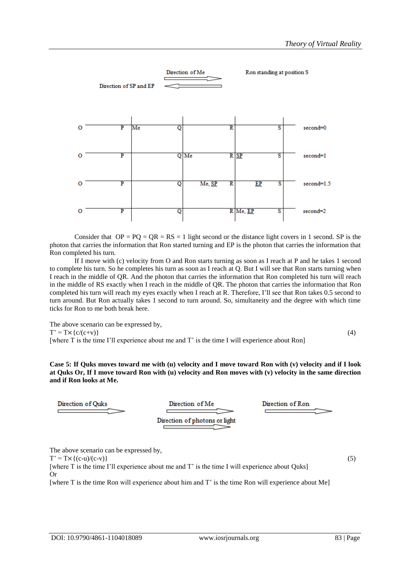

Consider that  $OP = PQ = QR = RS = 1$  light second or the distance light covers in 1 second. SP is the photon that carries the information that Ron started turning and EP is the photon that carries the information that Ron completed his turn.

If I move with (c) velocity from O and Ron starts turning as soon as I reach at P and he takes 1 second to complete his turn. So he completes his turn as soon as I reach at Q. But I will see that Ron starts turning when I reach in the middle of QR. And the photon that carries the information that Ron completed his turn will reach in the middle of RS exactly when I reach in the middle of QR. The photon that carries the information that Ron completed his turn will reach my eyes exactly when I reach at R. Therefore, I'll see that Ron takes 0.5 second to turn around. But Ron actually takes 1 second to turn around. So, simultaneity and the degree with which time ticks for Ron to me both break here.

The above scenario can be expressed by,  $T' = Tx{c/(c+v)}$  (4) [where T is the time I'll experience about me and T' is the time I will experience about Ron]

#### **Case 5: If Quks moves toward me with (u) velocity and I move toward Ron with (v) velocity and if I look at Quks Or, If I move toward Ron with (u) velocity and Ron moves with (v) velocity in the same direction and if Ron looks at Me.**



The above scenario can be expressed by,

 $T' = T \times \{ (c-u)/(c-v) \}$  (5)

[where T is the time I'll experience about me and T' is the time I will experience about Quks] Or

[where T is the time Ron will experience about him and T' is the time Ron will experience about Me]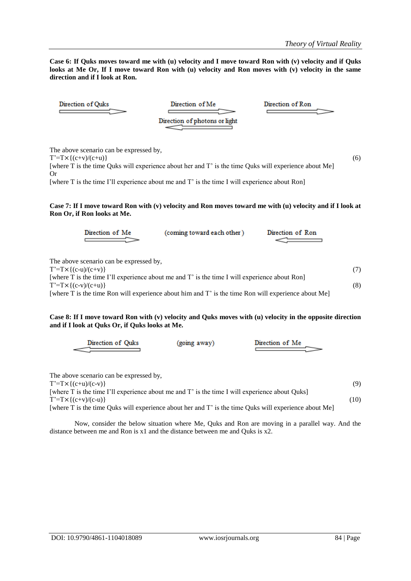**Case 6: If Quks moves toward me with (u) velocity and I move toward Ron with (v) velocity and if Quks looks at Me Or, If I move toward Ron with (u) velocity and Ron moves with (v) velocity in the same direction and if I look at Ron.**



The above scenario can be expressed by,

 $T^{\prime}=T\times\{(c+ v)/(c+ u)\}$  (6)

[where T is the time Quks will experience about her and T' is the time Quks will experience about Me] Or

[where T is the time I'll experience about me and T' is the time I will experience about Ron]

#### **Case 7: If I move toward Ron with (v) velocity and Ron moves toward me with (u) velocity and if I look at Ron Or, if Ron looks at Me.**

| Direction of Me                                                                                                                                                                                                                                                                                                       | (coming toward each other) | Direction of Ron |            |
|-----------------------------------------------------------------------------------------------------------------------------------------------------------------------------------------------------------------------------------------------------------------------------------------------------------------------|----------------------------|------------------|------------|
| The above scenario can be expressed by,<br>$T' = T \times \{(c-u)/(c+v)\}$<br>[where T is the time I'll experience about me and T' is the time I will experience about Ron]<br>$T' = T \times \{(c-v)/(c+u)\}$<br>[where T is the time Ron will experience about him and T' is the time Ron will experience about Me] |                            |                  | (7)<br>(8) |

## **Case 8: If I move toward Ron with (v) velocity and Quks moves with (u) velocity in the opposite direction and if I look at Quks Or, if Quks looks at Me.**

The above scenario can be expressed by,

 $T^2 = T \times \{(c+u)/(c-v)\}$  (9)

[where T is the time I'll experience about me and T' is the time I will experience about Quks]  $T^2 = T \times \{(c+v)/(c-u)\}$  (10) [where T is the time Quks will experience about her and T' is the time Quks will experience about Me]

Now, consider the below situation where Me, Quks and Ron are moving in a parallel way. And the distance between me and Ron is x1 and the distance between me and Quks is x2.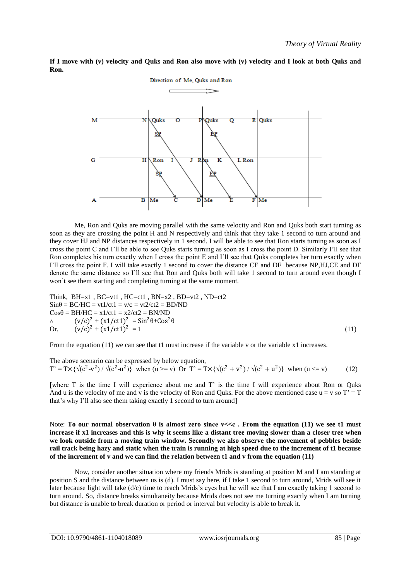

**If I move with (v) velocity and Quks and Ron also move with (v) velocity and I look at both Quks and Ron.**

Me, Ron and Quks are moving parallel with the same velocity and Ron and Quks both start turning as soon as they are crossing the point H and N respectively and think that they take 1 second to turn around and they cover HJ and NP distances respectively in 1 second. I will be able to see that Ron starts turning as soon as I cross the point C and I'll be able to see Quks starts turning as soon as I cross the point D. Similarly I'll see that Ron completes his turn exactly when I cross the point E and I'll see that Quks completes her turn exactly when I'll cross the point F. I will take exactly 1 second to cover the distance CE and DF because NP,HJ,CE and DF denote the same distance so I'll see that Ron and Quks both will take 1 second to turn around even though I won't see them starting and completing turning at the same moment.

Think, BH=x1, BC=vt1, HC=ct1, BN=x2, BD=vt2, ND=ct2  
\nSinθ = BC/HC = vt1/ct1 = v/c = vt2/ct2 = BD/ND  
\nCosθ = BH/HC = x1/ct1 = x2/ct2 = BN/ND  
\n∴ 
$$
(v/c)^2 + (x1/ct1)^2 = Sin^2θ + Cos^2θ
$$
  
\nOr,  $(v/c)^2 + (x1/ct1)^2 = 1$  (11)

From the equation (11) we can see that t1 must increase if the variable v or the variable x1 increases.

The above scenario can be expressed by below equation,  $T' = Tx \{\sqrt{(c^2 - v^2)} / \sqrt{(c^2 - u^2)}\}$  when  $(u \ge v)$  Or  $T' = Tx \{\sqrt{(c^2 + v^2)} / \sqrt{(c^2 + u^2)}\}$  when  $(u \le v)$  (12)

[where T is the time I will experience about me and T' is the time I will experience about Ron or Quks And u is the velocity of me and v is the velocity of Ron and Quks. For the above mentioned case  $u = v$  so  $T' = T$ that's why I'll also see them taking exactly 1 second to turn around]

Note: **To our normal observation θ is almost zero since v<<c . From the equation (11) we see t1 must increase if x1 increases and this is why it seems like a distant tree moving slower than a closer tree when we look outside from a moving train window. Secondly we also observe the movement of pebbles beside rail track being hazy and static when the train is running at high speed due to the increment of t1 because of the increment of v and we can find the relation between t1 and v from the equation (11)**

Now, consider another situation where my friends Mrids is standing at position M and I am standing at position S and the distance between us is (d). I must say here, if I take 1 second to turn around, Mrids will see it later because light will take (d/c) time to reach Mrids's eyes but he will see that I am exactly taking 1 second to turn around. So, distance breaks simultaneity because Mrids does not see me turning exactly when I am turning but distance is unable to break duration or period or interval but velocity is able to break it.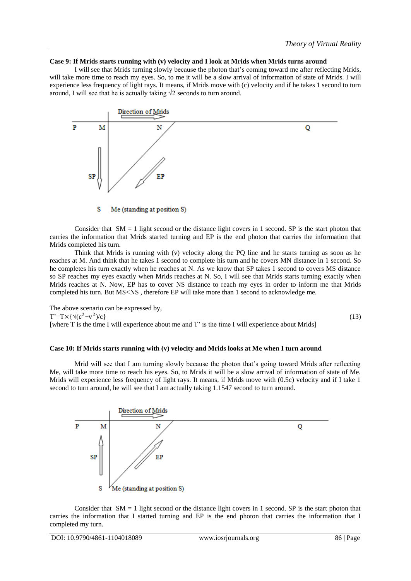## **Case 9: If Mrids starts running with (v) velocity and I look at Mrids when Mrids turns around**

I will see that Mrids turning slowly because the photon that's coming toward me after reflecting Mrids, will take more time to reach my eyes. So, to me it will be a slow arrival of information of state of Mrids. I will experience less frequency of light rays. It means, if Mrids move with (c) velocity and if he takes 1 second to turn around, I will see that he is actually taking  $\sqrt{2}$  seconds to turn around.



S Me (standing at position S)

Consider that  $SM = 1$  light second or the distance light covers in 1 second. SP is the start photon that carries the information that Mrids started turning and EP is the end photon that carries the information that Mrids completed his turn.

Think that Mrids is running with (v) velocity along the PQ line and he starts turning as soon as he reaches at M. And think that he takes 1 second to complete his turn and he covers MN distance in 1 second. So he completes his turn exactly when he reaches at N. As we know that SP takes 1 second to covers MS distance so SP reaches my eyes exactly when Mrids reaches at N. So, I will see that Mrids starts turning exactly when Mrids reaches at N. Now, EP has to cover NS distance to reach my eyes in order to inform me that Mrids completed his turn. But MS<NS , therefore EP will take more than 1 second to acknowledge me.

The above scenario can be expressed by,  $T' = T \times {\sqrt{(c^2 + v^2)}}$  $(x)$  (13) [where T is the time I will experience about me and T' is the time I will experience about Mrids]

## **Case 10: If Mrids starts running with (v) velocity and Mrids looks at Me when I turn around**

Mrid will see that I am turning slowly because the photon that's going toward Mrids after reflecting Me, will take more time to reach his eyes. So, to Mrids it will be a slow arrival of information of state of Me. Mrids will experience less frequency of light rays. It means, if Mrids move with (0.5c) velocity and if I take 1 second to turn around, he will see that I am actually taking 1.1547 second to turn around.



Consider that  $SM = 1$  light second or the distance light covers in 1 second. SP is the start photon that carries the information that I started turning and EP is the end photon that carries the information that I completed my turn.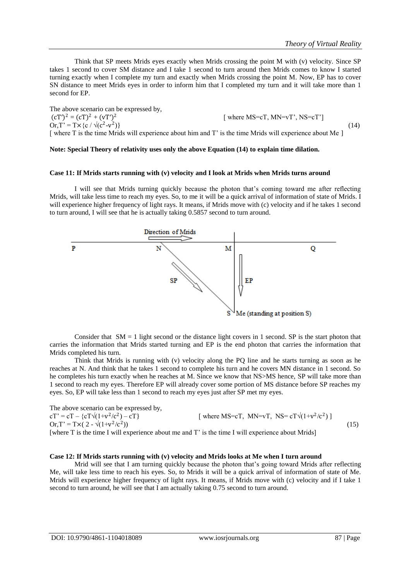Think that SP meets Mrids eyes exactly when Mrids crossing the point M with (v) velocity. Since SP takes 1 second to cover SM distance and I take 1 second to turn around then Mrids comes to know I started turning exactly when I complete my turn and exactly when Mrids crossing the point M. Now, EP has to cover SN distance to meet Mrids eyes in order to inform him that I completed my turn and it will take more than 1 second for EP.

The above scenario can be expressed by,  $(cT')^2 = (cT)^2 + (vT')^2$ [ where MS=cT, MN=vT', NS=cT'] Or,  $T' = Tx \{c / \sqrt{(c^2 - v^2)}\}$  $)\}$  (14) [ where T is the time Mrids will experience about him and T' is the time Mrids will experience about Me ]

#### **Note: Special Theory of relativity uses only the above Equation (14) to explain time dilation.**

## **Case 11: If Mrids starts running with (v) velocity and I look at Mrids when Mrids turns around**

I will see that Mrids turning quickly because the photon that's coming toward me after reflecting Mrids, will take less time to reach my eyes. So, to me it will be a quick arrival of information of state of Mrids. I will experience higher frequency of light rays. It means, if Mrids move with (c) velocity and if he takes 1 second to turn around, I will see that he is actually taking 0.5857 second to turn around.



Consider that  $SM = 1$  light second or the distance light covers in 1 second. SP is the start photon that carries the information that Mrids started turning and EP is the end photon that carries the information that Mrids completed his turn.

Think that Mrids is running with (v) velocity along the PQ line and he starts turning as soon as he reaches at N. And think that he takes 1 second to complete his turn and he covers MN distance in 1 second. So he completes his turn exactly when he reaches at M. Since we know that NS>MS hence, SP will take more than 1 second to reach my eyes. Therefore EP will already cover some portion of MS distance before SP reaches my eyes. So, EP will take less than 1 second to reach my eyes just after SP met my eyes.

The above scenario can be expressed by,  $cT' = cT - (cT)(1+v^2/c^2)$  $[-cT]$  [where MS=cT, MN=vT, NS= $cT\sqrt{(1+v^2/c^2)}$ ] Or,  $T' = Tx(2 - \sqrt{(1+v^2/c^2}))$  $))$  (15) [where T is the time I will experience about me and T' is the time I will experience about Mrids]

#### **Case 12: If Mrids starts running with (v) velocity and Mrids looks at Me when I turn around**

Mrid will see that I am turning quickly because the photon that's going toward Mrids after reflecting Me, will take less time to reach his eyes. So, to Mrids it will be a quick arrival of information of state of Me. Mrids will experience higher frequency of light rays. It means, if Mrids move with (c) velocity and if I take 1 second to turn around, he will see that I am actually taking 0.75 second to turn around.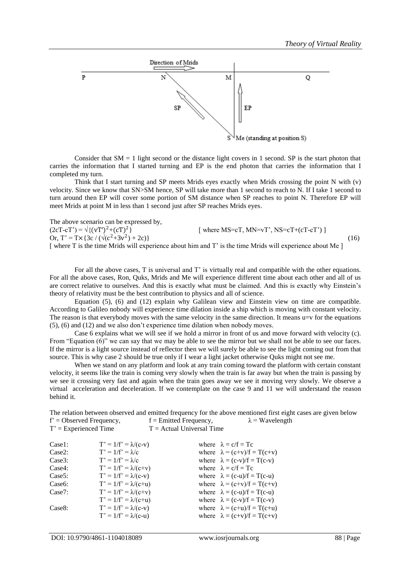

Consider that  $SM = 1$  light second or the distance light covers in 1 second. SP is the start photon that carries the information that I started turning and EP is the end photon that carries the information that I completed my turn.

Think that I start turning and SP meets Mrids eyes exactly when Mrids crossing the point N with  $(v)$ velocity. Since we know that SN>SM hence, SP will take more than 1 second to reach to N. If I take 1 second to turn around then EP will cover some portion of SM distance when SP reaches to point N. Therefore EP will meet Mrids at point M in less than 1 second just after SP reaches Mrids eyes.

The above scenario can be expressed by,

 $(2cT-cT') = \sqrt{(vT')^2 + (cT)^2}$  $[$  where MS=cT, MN=vT', NS=cT+(cT-cT')  $]$ Or, T' = T × { 3c /  $(\sqrt{(c^2+3v^2))})$  $(+2c)$ } (16) [ where T is the time Mrids will experience about him and T' is the time Mrids will experience about Me ]

For all the above cases, T is universal and T' is virtually real and compatible with the other equations. For all the above cases, Ron, Quks, Mrids and Me will experience different time about each other and all of us are correct relative to ourselves. And this is exactly what must be claimed. And this is exactly why Einstein's theory of relativity must be the best contribution to physics and all of science.

Equation (5), (6) and (12) explain why Galilean view and Einstein view on time are compatible. According to Galileo nobody will experience time dilation inside a ship which is moving with constant velocity. The reason is that everybody moves with the same velocity in the same direction. It means u=v for the equations (5), (6) and (12) and we also don't experience time dilation when nobody moves.

Case 6 explains what we will see if we hold a mirror in front of us and move forward with velocity (c). From "Equation (6)" we can say that we may be able to see the mirror but we shall not be able to see our faces. If the mirror is a light source instead of reflector then we will surely be able to see the light coming out from that source. This is why case 2 should be true only if I wear a light jacket otherwise Quks might not see me.

When we stand on any platform and look at any train coming toward the platform with certain constant velocity, it seems like the train is coming very slowly when the train is far away but when the train is passing by we see it crossing very fast and again when the train goes away we see it moving very slowly. We observe a virtual acceleration and deceleration. If we contemplate on the case 9 and 11 we will understand the reason behind it.

The relation between observed and emitted frequency for the above mentioned first eight cases are given below  $f' =$  Observed Frequency,  $f =$  Emitted Frequency,  $\lambda =$  Wavelength  $T' =$  Experienced Time  $T =$  Actual Universal Time

| Case1:              | $T' = 1/f' = \lambda/(c-v)$ | where $\lambda = c/f = Tc$         |
|---------------------|-----------------------------|------------------------------------|
| Case2:              | $T' = 1/f' = \lambda/c$     | where $\lambda = (c+v)/f = T(c+v)$ |
| Case3:              | $T' = 1/f' = \lambda/c$     | where $\lambda = (c-v)/f = T(c-v)$ |
| Case4:              | $T' = 1/f' = \lambda/(c+v)$ | where $\lambda = c/f = Tc$         |
| Case <sub>5</sub> : | $T' = 1/f' = \lambda/(c-v)$ | where $\lambda = (c-u)/f = T(c-u)$ |
| Case <sub>6</sub> : | $T' = 1/f' = \lambda/(c+u)$ | where $\lambda = (c+v)/f = T(c+v)$ |
| Case7:              | $T' = 1/f' = \lambda/(c+v)$ | where $\lambda = (c-u)/f = T(c-u)$ |
|                     | $T' = 1/f' = \lambda/(c+u)$ | where $\lambda = (c-v)/f = T(c-v)$ |
| Case <sub>8</sub> : | $T' = 1/f' = \lambda/(c-v)$ | where $\lambda = (c+u)/f = T(c+u)$ |
|                     | $T' = 1/f' = \lambda/(c-u)$ | where $\lambda = (c+v)/f = T(c+v)$ |